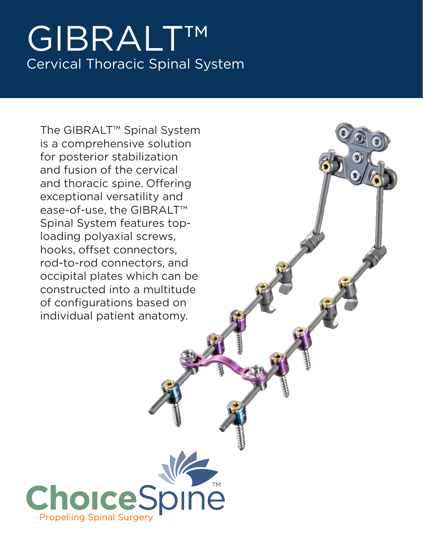# GIBRALT™ Cervical Thoracic Spinal System

The GIBRALT™ Spinal System is a comprehensive solution for posterior stabilization and fusion of the cervical and thoracic spine. Offering exceptional versatility and ease-of-use, the GIBRALT™ Spinal System features toploading polyaxial screws, hooks, offset connectors, rod-to-rod connectors, and occipital plates which can be constructed into a multitude of configurations based on individual patient anatomy.